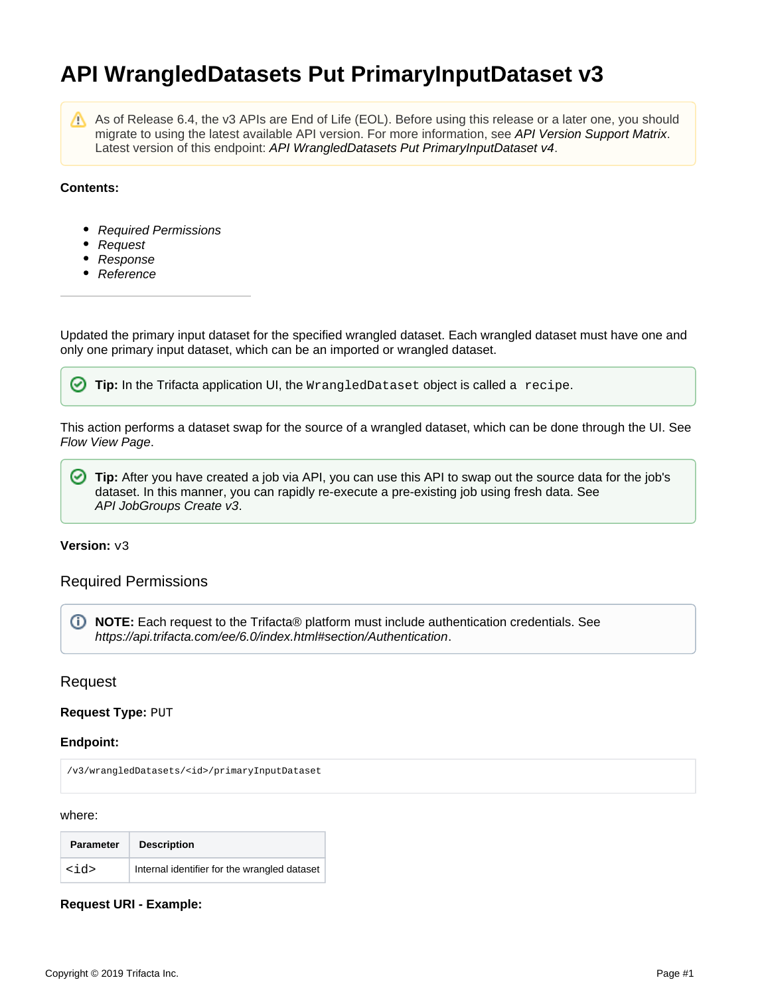# **API WrangledDatasets Put PrimaryInputDataset v3**

Λ

As of Release 6.4, the v3 APIs are End of Life (EOL). Before using this release or a later one, you should migrate to using the latest available API version. For more information, see [API Version Support Matrix](https://docs.trifacta.com/display/r060/API+Version+Support+Matrix). Latest version of this endpoint: [API WrangledDatasets Put PrimaryInputDataset v4](https://docs.trifacta.com/display/r060/API+WrangledDatasets+Put+PrimaryInputDataset+v4).

## **Contents:**

- [Required Permissions](#page-0-0)
- [Request](#page-0-1)
- [Response](#page-1-0)
- [Reference](#page-1-1)

Updated the primary input dataset for the specified wrangled dataset. Each wrangled dataset must have one and only one primary input dataset, which can be an imported or wrangled dataset.

**Tip:** In the Trifacta application UI, the WrangledDataset object is called a recipe.

This action performs a dataset swap for the source of a wrangled dataset, which can be done through the UI. See [Flow View Page](https://docs.trifacta.com/display/r060/Flow+View+Page).

☑ **Tip:** After you have created a job via API, you can use this API to swap out the source data for the job's dataset. In this manner, you can rapidly re-execute a pre-existing job using fresh data. See [API JobGroups Create v3](https://docs.trifacta.com/display/r060/API+JobGroups+Create+v3).

## **Version:** v3

# <span id="page-0-0"></span>Required Permissions

**NOTE:** Each request to the Trifacta® platform must include authentication credentials. See <https://api.trifacta.com/ee/6.0/index.html#section/Authentication>.

# <span id="page-0-1"></span>Request

## **Request Type:** PUT

## **Endpoint:**

/v3/wrangledDatasets/<id>/primaryInputDataset

#### where:

| <b>Parameter</b> | <b>Description</b>                           |
|------------------|----------------------------------------------|
| $<$ id>          | Internal identifier for the wrangled dataset |

## **Request URI - Example:**